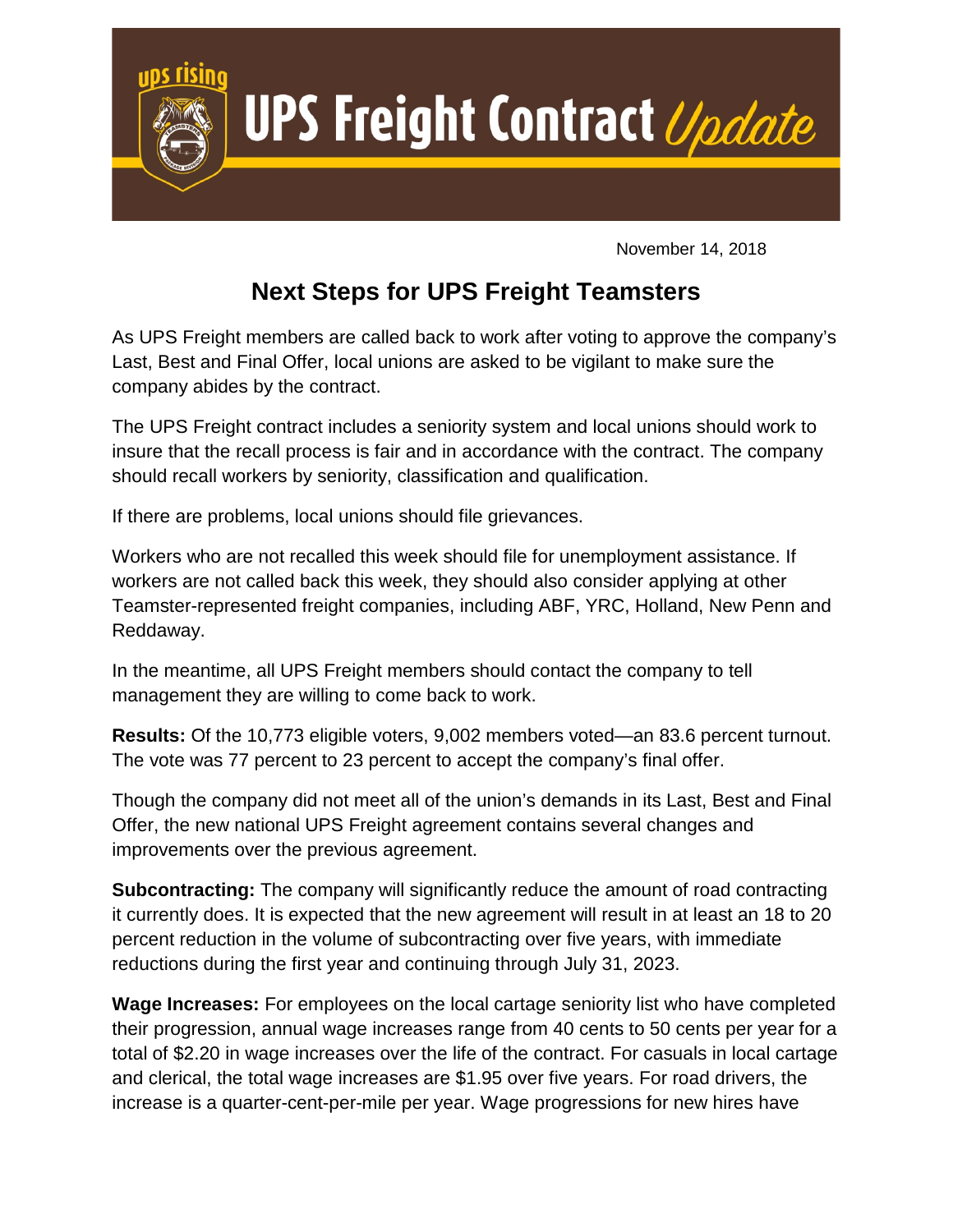

November 14, 2018

## **Next Steps for UPS Freight Teamsters**

As UPS Freight members are called back to work after voting to approve the company's Last, Best and Final Offer, local unions are asked to be vigilant to make sure the company abides by the contract.

The UPS Freight contract includes a seniority system and local unions should work to insure that the recall process is fair and in accordance with the contract. The company should recall workers by seniority, classification and qualification.

If there are problems, local unions should file grievances.

Workers who are not recalled this week should file for unemployment assistance. If workers are not called back this week, they should also consider applying at other Teamster-represented freight companies, including ABF, YRC, Holland, New Penn and Reddaway.

In the meantime, all UPS Freight members should contact the company to tell management they are willing to come back to work.

**Results:** Of the 10,773 eligible voters, 9,002 members voted—an 83.6 percent turnout. The vote was 77 percent to 23 percent to accept the company's final offer.

Though the company did not meet all of the union's demands in its Last, Best and Final Offer, the new national UPS Freight agreement contains several changes and improvements over the previous agreement.

**Subcontracting:** The company will significantly reduce the amount of road contracting it currently does. It is expected that the new agreement will result in at least an 18 to 20 percent reduction in the volume of subcontracting over five years, with immediate reductions during the first year and continuing through July 31, 2023.

**Wage Increases:** For employees on the local cartage seniority list who have completed their progression, annual wage increases range from 40 cents to 50 cents per year for a total of \$2.20 in wage increases over the life of the contract. For casuals in local cartage and clerical, the total wage increases are \$1.95 over five years. For road drivers, the increase is a quarter-cent-per-mile per year. Wage progressions for new hires have